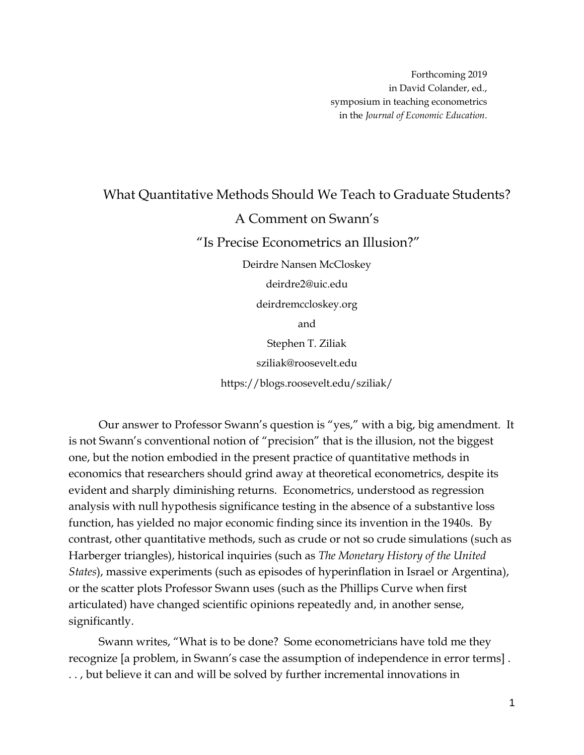## What Quantitative Methods Should We Teach to Graduate Students? A Comment on Swann's "Is Precise Econometrics an Illusion?" Deirdre Nansen McCloskey deirdre2@uic.edu deirdremccloskey.org

and

Stephen T. Ziliak sziliak@roosevelt.edu https://blogs.roosevelt.edu/sziliak/

Our answer to Professor Swann's question is "yes," with a big, big amendment. It is not Swann's conventional notion of "precision" that is the illusion, not the biggest one, but the notion embodied in the present practice of quantitative methods in economics that researchers should grind away at theoretical econometrics, despite its evident and sharply diminishing returns. Econometrics, understood as regression analysis with null hypothesis significance testing in the absence of a substantive loss function, has yielded no major economic finding since its invention in the 1940s. By contrast, other quantitative methods, such as crude or not so crude simulations (such as Harberger triangles), historical inquiries (such as *The Monetary History of the United States*), massive experiments (such as episodes of hyperinflation in Israel or Argentina), or the scatter plots Professor Swann uses (such as the Phillips Curve when first articulated) have changed scientific opinions repeatedly and, in another sense, significantly.

Swann writes, "What is to be done? Some econometricians have told me they recognize [a problem, in Swann's case the assumption of independence in error terms] . . . , but believe it can and will be solved by further incremental innovations in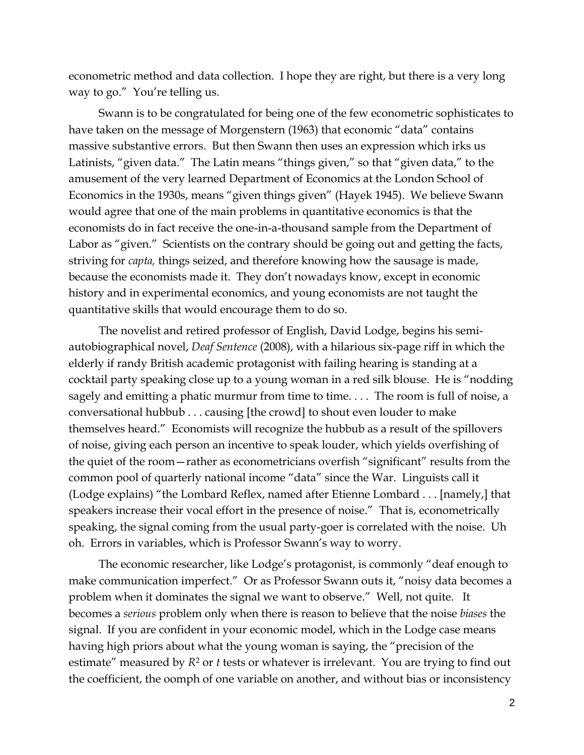econometric method and data collection. I hope they are right, but there is a very long way to go." You're telling us.

Swann is to be congratulated for being one of the few econometric sophisticates to have taken on the message of Morgenstern (1963) that economic "data" contains massive substantive errors. But then Swann then uses an expression which irks us Latinists, "given data." The Latin means "things given," so that "given data," to the amusement of the very learned Department of Economics at the London School of Economics in the 1930s, means "given things given" (Hayek 1945). We believe Swann would agree that one of the main problems in quantitative economics is that the economists do in fact receive the one-in-a-thousand sample from the Department of Labor as "given." Scientists on the contrary should be going out and getting the facts, striving for *capta,* things seized, and therefore knowing how the sausage is made, because the economists made it. They don't nowadays know, except in economic history and in experimental economics, and young economists are not taught the quantitative skills that would encourage them to do so.

The novelist and retired professor of English, David Lodge, begins his semiautobiographical novel, *Deaf Sentence* (2008), with a hilarious six-page riff in which the elderly if randy British academic protagonist with failing hearing is standing at a cocktail party speaking close up to a young woman in a red silk blouse. He is "nodding sagely and emitting a phatic murmur from time to time.... The room is full of noise, a conversational hubbub . . . causing [the crowd] to shout even louder to make themselves heard." Economists will recognize the hubbub as a result of the spillovers of noise, giving each person an incentive to speak louder, which yields overfishing of the quiet of the room—rather as econometricians overfish "significant" results from the common pool of quarterly national income "data" since the War. Linguists call it (Lodge explains) "the Lombard Reflex, named after Etienne Lombard . . . [namely,] that speakers increase their vocal effort in the presence of noise." That is, econometrically speaking, the signal coming from the usual party-goer is correlated with the noise. Uh oh. Errors in variables, which is Professor Swann's way to worry.

The economic researcher, like Lodge's protagonist, is commonly "deaf enough to make communication imperfect." Or as Professor Swann outs it, "noisy data becomes a problem when it dominates the signal we want to observe." Well, not quite. It becomes a *serious* problem only when there is reason to believe that the noise *biases* the signal. If you are confident in your economic model, which in the Lodge case means having high priors about what the young woman is saying, the "precision of the estimate" measured by  $R^2$  or *t* tests or whatever is irrelevant. You are trying to find out the coefficient, the oomph of one variable on another, and without bias or inconsistency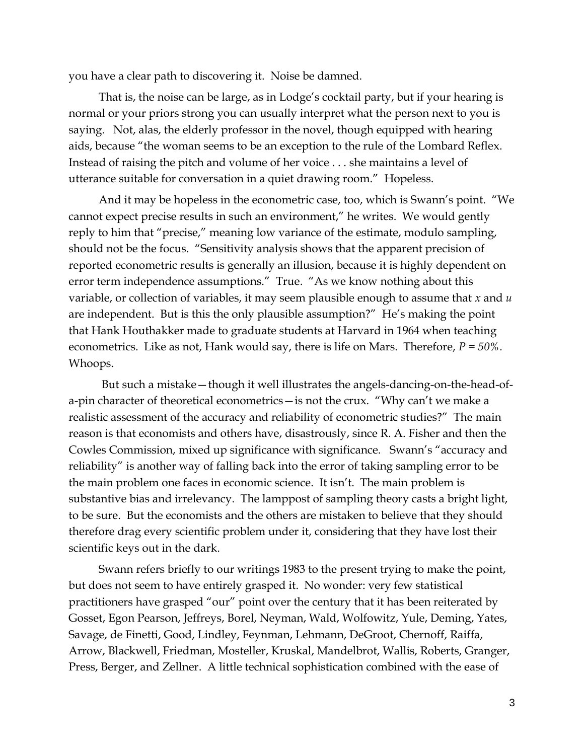you have a clear path to discovering it. Noise be damned.

That is, the noise can be large, as in Lodge's cocktail party, but if your hearing is normal or your priors strong you can usually interpret what the person next to you is saying. Not, alas, the elderly professor in the novel, though equipped with hearing aids, because "the woman seems to be an exception to the rule of the Lombard Reflex. Instead of raising the pitch and volume of her voice . . . she maintains a level of utterance suitable for conversation in a quiet drawing room." Hopeless.

And it may be hopeless in the econometric case, too, which is Swann's point. "We cannot expect precise results in such an environment," he writes. We would gently reply to him that "precise," meaning low variance of the estimate, modulo sampling, should not be the focus. "Sensitivity analysis shows that the apparent precision of reported econometric results is generally an illusion, because it is highly dependent on error term independence assumptions." True. "As we know nothing about this variable, or collection of variables, it may seem plausible enough to assume that *x* and *u* are independent. But is this the only plausible assumption?" He's making the point that Hank Houthakker made to graduate students at Harvard in 1964 when teaching econometrics. Like as not, Hank would say, there is life on Mars. Therefore, *P = 50%.*  Whoops.

But such a mistake—though it well illustrates the angels-dancing-on-the-head-ofa-pin character of theoretical econometrics—is not the crux. "Why can't we make a realistic assessment of the accuracy and reliability of econometric studies?" The main reason is that economists and others have, disastrously, since R. A. Fisher and then the Cowles Commission, mixed up significance with significance. Swann's "accuracy and reliability" is another way of falling back into the error of taking sampling error to be the main problem one faces in economic science. It isn't. The main problem is substantive bias and irrelevancy. The lamppost of sampling theory casts a bright light, to be sure. But the economists and the others are mistaken to believe that they should therefore drag every scientific problem under it, considering that they have lost their scientific keys out in the dark.

Swann refers briefly to our writings 1983 to the present trying to make the point, but does not seem to have entirely grasped it. No wonder: very few statistical practitioners have grasped "our" point over the century that it has been reiterated by Gosset, Egon Pearson, Jeffreys, Borel, Neyman, Wald, Wolfowitz, Yule, Deming, Yates, Savage, de Finetti, Good, Lindley, Feynman, Lehmann, DeGroot, Chernoff, Raiffa, Arrow, Blackwell, Friedman, Mosteller, Kruskal, Mandelbrot, Wallis, Roberts, Granger, Press, Berger, and Zellner. A little technical sophistication combined with the ease of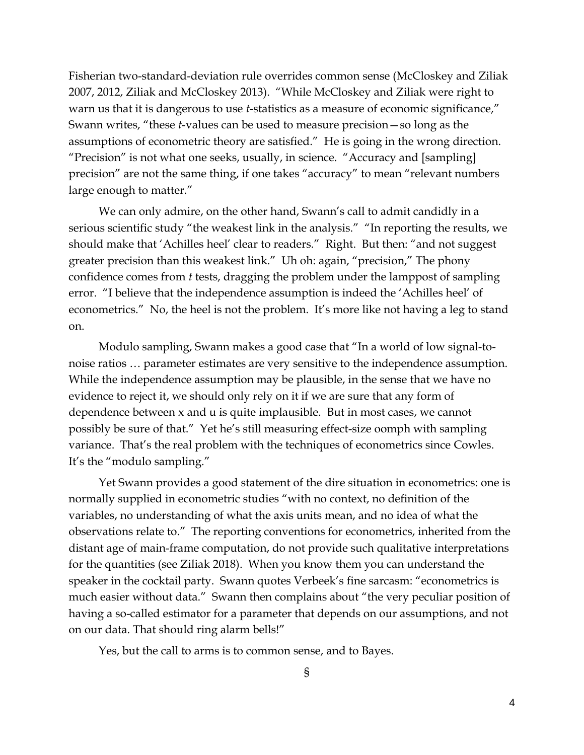Fisherian two-standard-deviation rule overrides common sense (McCloskey and Ziliak 2007, 2012, Ziliak and McCloskey 2013). "While McCloskey and Ziliak were right to warn us that it is dangerous to use *t*-statistics as a measure of economic significance," Swann writes, "these *t*-values can be used to measure precision—so long as the assumptions of econometric theory are satisfied." He is going in the wrong direction. "Precision" is not what one seeks, usually, in science. "Accuracy and [sampling] precision" are not the same thing, if one takes "accuracy" to mean "relevant numbers large enough to matter."

We can only admire, on the other hand, Swann's call to admit candidly in a serious scientific study "the weakest link in the analysis." "In reporting the results, we should make that 'Achilles heel' clear to readers." Right. But then: "and not suggest greater precision than this weakest link." Uh oh: again, "precision," The phony confidence comes from *t* tests, dragging the problem under the lamppost of sampling error. "I believe that the independence assumption is indeed the 'Achilles heel' of econometrics." No, the heel is not the problem. It's more like not having a leg to stand on.

Modulo sampling, Swann makes a good case that "In a world of low signal-tonoise ratios … parameter estimates are very sensitive to the independence assumption. While the independence assumption may be plausible, in the sense that we have no evidence to reject it, we should only rely on it if we are sure that any form of dependence between x and u is quite implausible. But in most cases, we cannot possibly be sure of that." Yet he's still measuring effect-size oomph with sampling variance. That's the real problem with the techniques of econometrics since Cowles. It's the "modulo sampling."

Yet Swann provides a good statement of the dire situation in econometrics: one is normally supplied in econometric studies "with no context, no definition of the variables, no understanding of what the axis units mean, and no idea of what the observations relate to." The reporting conventions for econometrics, inherited from the distant age of main-frame computation, do not provide such qualitative interpretations for the quantities (see Ziliak 2018). When you know them you can understand the speaker in the cocktail party. Swann quotes Verbeek's fine sarcasm: "econometrics is much easier without data." Swann then complains about "the very peculiar position of having a so-called estimator for a parameter that depends on our assumptions, and not on our data. That should ring alarm bells!"

Yes, but the call to arms is to common sense, and to Bayes.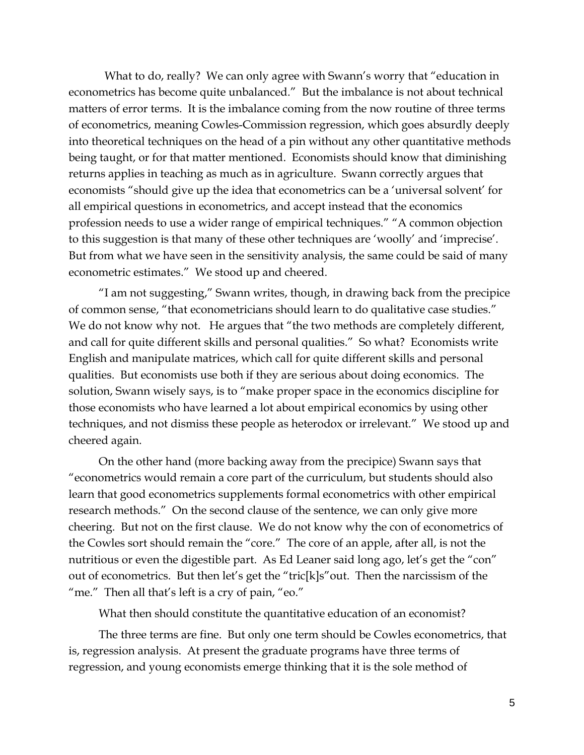What to do, really? We can only agree with Swann's worry that "education in econometrics has become quite unbalanced." But the imbalance is not about technical matters of error terms. It is the imbalance coming from the now routine of three terms of econometrics, meaning Cowles-Commission regression, which goes absurdly deeply into theoretical techniques on the head of a pin without any other quantitative methods being taught, or for that matter mentioned. Economists should know that diminishing returns applies in teaching as much as in agriculture. Swann correctly argues that economists "should give up the idea that econometrics can be a 'universal solvent' for all empirical questions in econometrics, and accept instead that the economics profession needs to use a wider range of empirical techniques." "A common objection to this suggestion is that many of these other techniques are 'woolly' and 'imprecise'. But from what we have seen in the sensitivity analysis, the same could be said of many econometric estimates." We stood up and cheered.

"I am not suggesting," Swann writes, though, in drawing back from the precipice of common sense, "that econometricians should learn to do qualitative case studies." We do not know why not. He argues that "the two methods are completely different, and call for quite different skills and personal qualities." So what? Economists write English and manipulate matrices, which call for quite different skills and personal qualities. But economists use both if they are serious about doing economics. The solution, Swann wisely says, is to "make proper space in the economics discipline for those economists who have learned a lot about empirical economics by using other techniques, and not dismiss these people as heterodox or irrelevant." We stood up and cheered again.

On the other hand (more backing away from the precipice) Swann says that "econometrics would remain a core part of the curriculum, but students should also learn that good econometrics supplements formal econometrics with other empirical research methods." On the second clause of the sentence, we can only give more cheering. But not on the first clause. We do not know why the con of econometrics of the Cowles sort should remain the "core." The core of an apple, after all, is not the nutritious or even the digestible part. As Ed Leaner said long ago, let's get the "con" out of econometrics. But then let's get the "tric[k]s"out. Then the narcissism of the "me." Then all that's left is a cry of pain, "eo."

What then should constitute the quantitative education of an economist?

The three terms are fine. But only one term should be Cowles econometrics, that is, regression analysis. At present the graduate programs have three terms of regression, and young economists emerge thinking that it is the sole method of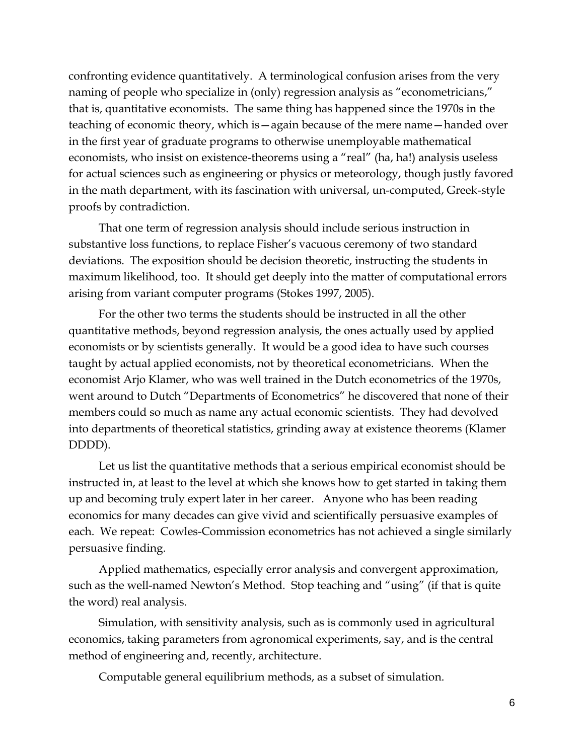confronting evidence quantitatively. A terminological confusion arises from the very naming of people who specialize in (only) regression analysis as "econometricians," that is, quantitative economists. The same thing has happened since the 1970s in the teaching of economic theory, which is—again because of the mere name—handed over in the first year of graduate programs to otherwise unemployable mathematical economists, who insist on existence-theorems using a "real" (ha, ha!) analysis useless for actual sciences such as engineering or physics or meteorology, though justly favored in the math department, with its fascination with universal, un-computed, Greek-style proofs by contradiction.

That one term of regression analysis should include serious instruction in substantive loss functions, to replace Fisher's vacuous ceremony of two standard deviations. The exposition should be decision theoretic, instructing the students in maximum likelihood, too. It should get deeply into the matter of computational errors arising from variant computer programs (Stokes 1997, 2005).

For the other two terms the students should be instructed in all the other quantitative methods, beyond regression analysis, the ones actually used by applied economists or by scientists generally. It would be a good idea to have such courses taught by actual applied economists, not by theoretical econometricians. When the economist Arjo Klamer, who was well trained in the Dutch econometrics of the 1970s, went around to Dutch "Departments of Econometrics" he discovered that none of their members could so much as name any actual economic scientists. They had devolved into departments of theoretical statistics, grinding away at existence theorems (Klamer DDDD).

Let us list the quantitative methods that a serious empirical economist should be instructed in, at least to the level at which she knows how to get started in taking them up and becoming truly expert later in her career. Anyone who has been reading economics for many decades can give vivid and scientifically persuasive examples of each. We repeat: Cowles-Commission econometrics has not achieved a single similarly persuasive finding.

Applied mathematics, especially error analysis and convergent approximation, such as the well-named Newton's Method. Stop teaching and "using" (if that is quite the word) real analysis.

Simulation, with sensitivity analysis, such as is commonly used in agricultural economics, taking parameters from agronomical experiments, say, and is the central method of engineering and, recently, architecture.

Computable general equilibrium methods, as a subset of simulation.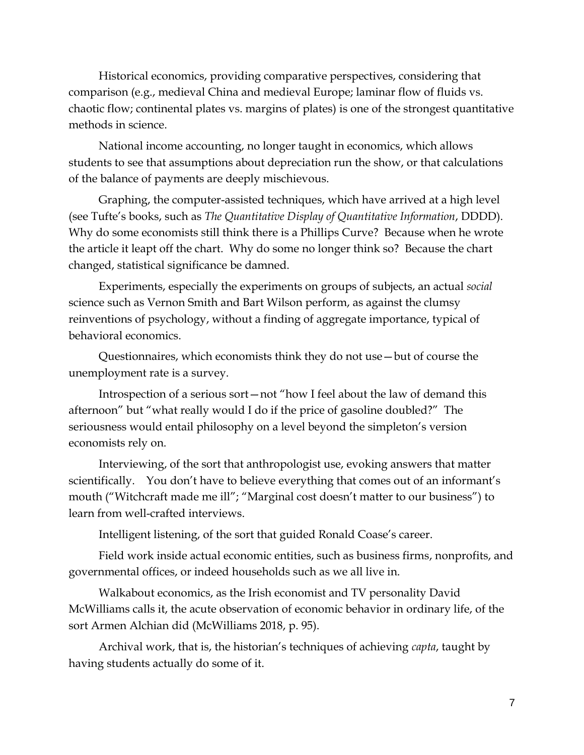Historical economics, providing comparative perspectives, considering that comparison (e.g., medieval China and medieval Europe; laminar flow of fluids vs. chaotic flow; continental plates vs. margins of plates) is one of the strongest quantitative methods in science.

National income accounting, no longer taught in economics, which allows students to see that assumptions about depreciation run the show, or that calculations of the balance of payments are deeply mischievous.

Graphing, the computer-assisted techniques, which have arrived at a high level (see Tufte's books, such as *The Quantitative Display of Quantitative Information*, DDDD). Why do some economists still think there is a Phillips Curve? Because when he wrote the article it leapt off the chart. Why do some no longer think so? Because the chart changed, statistical significance be damned.

Experiments, especially the experiments on groups of subjects, an actual *social* science such as Vernon Smith and Bart Wilson perform, as against the clumsy reinventions of psychology, without a finding of aggregate importance, typical of behavioral economics.

Questionnaires, which economists think they do not use—but of course the unemployment rate is a survey.

Introspection of a serious sort—not "how I feel about the law of demand this afternoon" but "what really would I do if the price of gasoline doubled?" The seriousness would entail philosophy on a level beyond the simpleton's version economists rely on.

Interviewing, of the sort that anthropologist use, evoking answers that matter scientifically. You don't have to believe everything that comes out of an informant's mouth ("Witchcraft made me ill"; "Marginal cost doesn't matter to our business") to learn from well-crafted interviews.

Intelligent listening, of the sort that guided Ronald Coase's career.

Field work inside actual economic entities, such as business firms, nonprofits, and governmental offices, or indeed households such as we all live in.

Walkabout economics, as the Irish economist and TV personality David McWilliams calls it, the acute observation of economic behavior in ordinary life, of the sort Armen Alchian did (McWilliams 2018, p. 95).

Archival work, that is, the historian's techniques of achieving *capta*, taught by having students actually do some of it.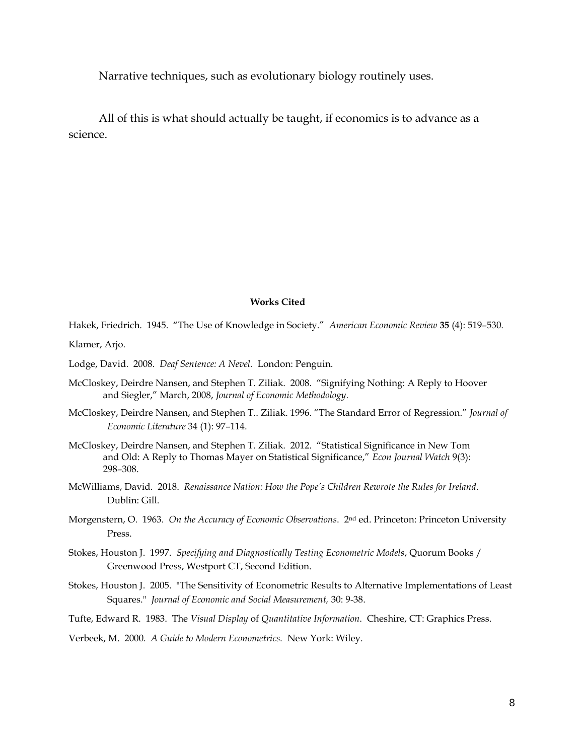Narrative techniques, such as evolutionary biology routinely uses.

All of this is what should actually be taught, if economics is to advance as a science.

## **Works Cited**

Hakek, Friedrich. 1945. "The Use of Knowledge in Society." *American Economic Review* **35** (4): 519–530*.* Klamer, Arjo.

Lodge, David. 2008. *Deaf Sentence: A Nevel.* London: Penguin.

- McCloskey, Deirdre Nansen, and Stephen T. Ziliak. 2008. "Signifying Nothing: A Reply to Hoover and Siegler," March, 2008, *Journal of Economic Methodology*.
- McCloskey, Deirdre Nansen, and Stephen T.. Ziliak. 1996. "The Standard Error of Regression." *Journal of Economic Literature* 34 (1): 97–114.
- McCloskey, Deirdre Nansen, and Stephen T. Ziliak. 2012. "Statistical Significance in New Tom and Old: A Reply to Thomas Mayer on Statistical Significance," *Econ Journal Watch* 9(3): 298–308.
- McWilliams, David. 2018. *Renaissance Nation: How the Pope's Children Rewrote the Rules for Ireland*. Dublin: Gill.
- Morgenstern, O. 1963. *On the Accuracy of Economic Observations*. 2nd ed. Princeton: Princeton University Press.
- Stokes, Houston J. 1997. *Specifying and Diagnostically Testing Econometric Models*, Quorum Books / Greenwood Press, Westport CT, Second Edition.
- Stokes, Houston J. 2005. "The Sensitivity of Econometric Results to Alternative Implementations of Least Squares." *Journal of Economic and Social Measurement,* 30: 9-38.
- Tufte, Edward R. 1983. The *Visual Display* of *Quantitative Information*. Cheshire, CT: Graphics Press.

Verbeek, M. 2000*. A Guide to Modern Econometrics.* New York: Wiley.